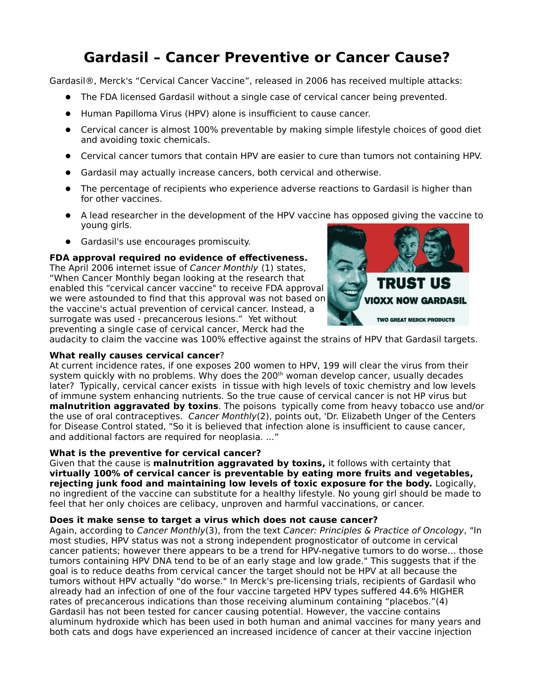# **Gardasil – Cancer Preventive or Cancer Cause?**

Gardasil®, Merck's "Cervical Cancer Vaccine", released in 2006 has received multiple attacks:

- The FDA licensed Gardasil without a single case of cervical cancer being prevented.
- Human Papilloma Virus (HPV) alone is insufficient to cause cancer.
- Cervical cancer is almost 100% preventable by making simple lifestyle choices of good diet and avoiding toxic chemicals.
- Cervical cancer tumors that contain HPV are easier to cure than tumors not containing HPV.
- Gardasil may actually increase cancers, both cervical and otherwise.
- The percentage of recipients who experience adverse reactions to Gardasil is higher than for other vaccines.
- A lead researcher in the development of the HPV vaccine has opposed giving the vaccine to young girls.
- **•** Gardasil's use encourages promiscuity.

## **FDA approval required no evidence of effectiveness.**

The April 2006 internet issue of Cancer Monthly (1) states, "When Cancer Monthly began looking at the research that enabled this "cervical cancer vaccine" to receive FDA approval we were astounded to find that this approval was not based on the vaccine's actual prevention of cervical cancer. Instead, a surrogate was used - precancerous lesions." Yet without preventing a single case of cervical cancer, Merck had the



audacity to claim the vaccine was 100% effective against the strains of HPV that Gardasil targets.

## **What really causes cervical cancer**?

At current incidence rates, if one exposes 200 women to HPV, 199 will clear the virus from their system quickly with no problems. Why does the 200<sup>th</sup> woman develop cancer, usually decades later? Typically, cervical cancer exists in tissue with high levels of toxic chemistry and low levels of immune system enhancing nutrients. So the true cause of cervical cancer is not HP virus but **malnutrition aggravated by toxins**. The poisons typically come from heavy tobacco use and/or the use of oral contraceptives. Cancer Monthly(2), points out, 'Dr. Elizabeth Unger of the Centers for Disease Control stated, "So it is believed that infection alone is insufficient to cause cancer, and additional factors are required for neoplasia. ..."

## **What is the preventive for cervical cancer?**

Given that the cause is **malnutrition aggravated by toxins,** it follows with certainty that **virtually 100% of cervical cancer is preventable by eating more fruits and vegetables, rejecting junk food and maintaining low levels of toxic exposure for the body.** Logically, no ingredient of the vaccine can substitute for a healthy lifestyle. No young girl should be made to feel that her only choices are celibacy, unproven and harmful vaccinations, or cancer.

#### **Does it make sense to target a virus which does not cause cancer?**

Again, according to Cancer Monthly(3), from the text Cancer: Principles & Practice of Oncology, "In most studies, HPV status was not a strong independent prognosticator of outcome in cervical cancer patients; however there appears to be a trend for HPV-negative tumors to do worse… those tumors containing HPV DNA tend to be of an early stage and low grade." This suggests that if the goal is to reduce deaths from cervical cancer the target should not be HPV at all because the tumors without HPV actually "do worse." In Merck's pre-licensing trials, recipients of Gardasil who already had an infection of one of the four vaccine targeted HPV types suffered 44.6% HIGHER rates of precancerous indications than those receiving aluminum containing "placebos."(4) Gardasil has not been tested for cancer causing potential. However, the vaccine contains aluminum hydroxide which has been used in both human and animal vaccines for many years and both cats and dogs have experienced an increased incidence of cancer at their vaccine injection